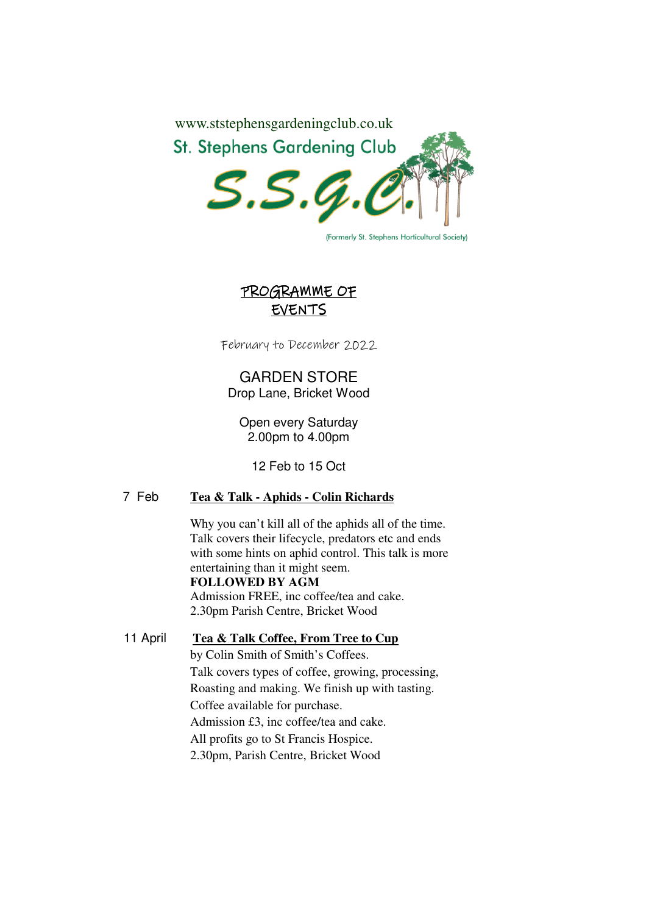

(Formerly St. Stephens Horticultural Society)

## PROGRAMME OF EVENTS

February to December 2022

GARDEN STORE Drop Lane, Bricket Wood

Open every Saturday 2.00pm to 4.00pm

12 Feb to 15 Oct

### 7 Feb **Tea & Talk - Aphids - Colin Richards**

 Why you can't kill all of the aphids all of the time. Talk covers their lifecycle, predators etc and ends with some hints on aphid control. This talk is more entertaining than it might seem. **FOLLOWED BY AGM**

 Admission FREE, inc coffee/tea and cake. 2.30pm Parish Centre, Bricket Wood

11 April **Tea & Talk Coffee, From Tree to Cup**  by Colin Smith of Smith's Coffees. Talk covers types of coffee, growing, processing, Roasting and making. We finish up with tasting. Coffee available for purchase. Admission £3, inc coffee/tea and cake. All profits go to St Francis Hospice. 2.30pm, Parish Centre, Bricket Wood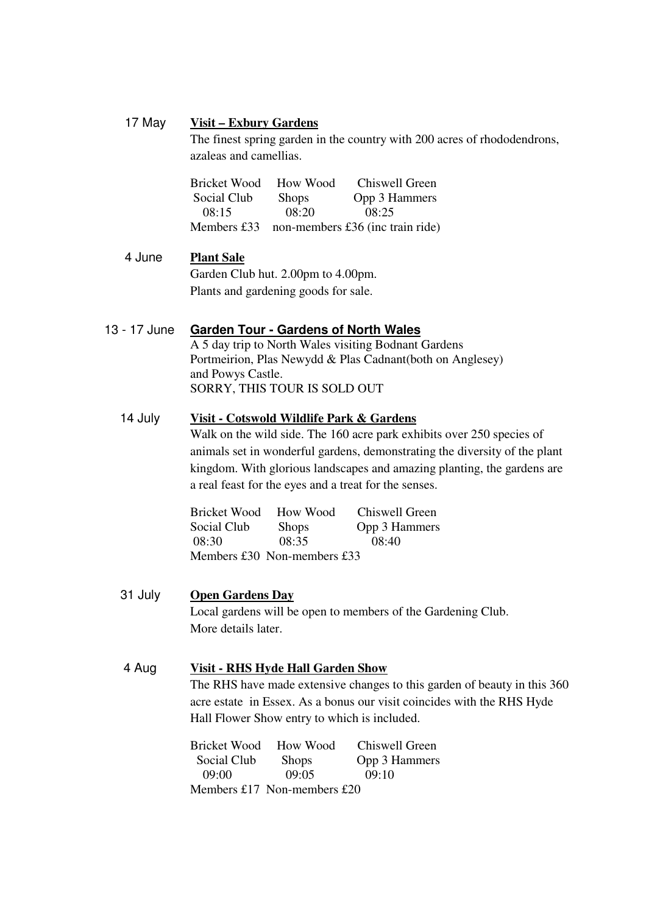### 17 May **Visit – Exbury Gardens**

The finest spring garden in the country with 200 acres of rhododendrons, azaleas and camellias.

 Bricket Wood How Wood Chiswell Green Social Club Shops Opp 3 Hammers 08:15 08:20 08:25 Members £33 non-members £36 (inc train ride)

## 4 June **Plant Sale**  Garden Club hut. 2.00pm to 4.00pm. Plants and gardening goods for sale.

### 13 - 17 June **Garden Tour - Gardens of North Wales**

A 5 day trip to North Wales visiting Bodnant Gardens Portmeirion, Plas Newydd & Plas Cadnant(both on Anglesey) and Powys Castle. SORRY, THIS TOUR IS SOLD OUT

### 14 July **Visit - Cotswold Wildlife Park & Gardens**

Walk on the wild side. The 160 acre park exhibits over 250 species of animals set in wonderful gardens, demonstrating the diversity of the plant kingdom. With glorious landscapes and amazing planting, the gardens are a real feast for the eyes and a treat for the senses.

|             | Bricket Wood How Wood         | Chiswell Green |
|-------------|-------------------------------|----------------|
| Social Club | <b>Shops</b>                  | Opp 3 Hammers  |
| 08:30       | 08:35                         | 08:40          |
|             | Members $£30$ Non-members £33 |                |

31 July **Open Gardens Day**  Local gardens will be open to members of the Gardening Club. More details later.

## 4 Aug **Visit - RHS Hyde Hall Garden Show**

The RHS have made extensive changes to this garden of beauty in this 360 acre estate in Essex. As a bonus our visit coincides with the RHS Hyde Hall Flower Show entry to which is included.

|             | Bricket Wood How Wood       | Chiswell Green |
|-------------|-----------------------------|----------------|
| Social Club | <b>Shops</b>                | Opp 3 Hammers  |
| 09.00       | 09.05                       | 09:10          |
|             | Members £17 Non-members £20 |                |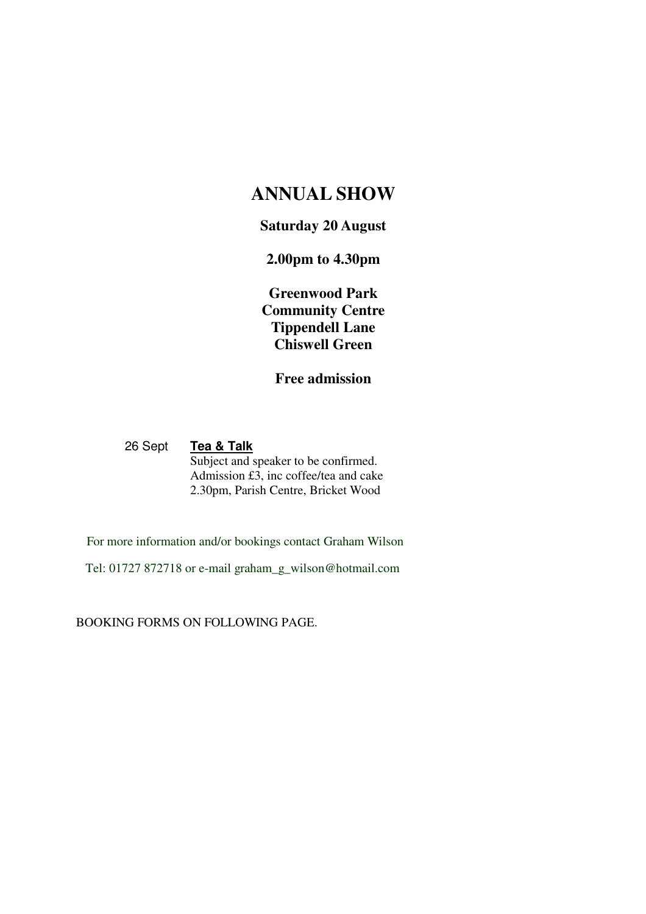# **ANNUAL SHOW**

## **Saturday 20 August**

# **2.00pm to 4.30pm**

**Greenwood Park Community Centre Tippendell Lane Chiswell Green** 

**Free admission** 

 26 Sept **Tea & Talk** Subject and speaker to be confirmed. Admission  $\overrightarrow{13}$ , inc coffee/tea and cake 2.30pm, Parish Centre, Bricket Wood

For more information and/or bookings contact Graham Wilson

Tel: 01727 872718 or e-mail graham\_g\_wilson@hotmail.com

BOOKING FORMS ON FOLLOWING PAGE.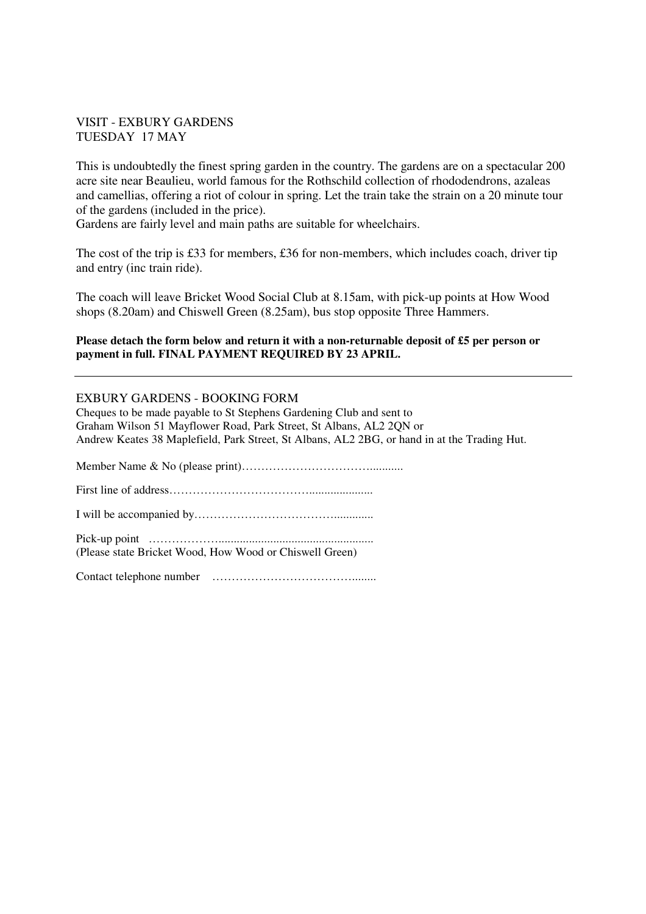### VISIT - EXBURY GARDENS TUESDAY 17 MAY

This is undoubtedly the finest spring garden in the country. The gardens are on a spectacular 200 acre site near Beaulieu, world famous for the Rothschild collection of rhododendrons, azaleas and camellias, offering a riot of colour in spring. Let the train take the strain on a 20 minute tour of the gardens (included in the price).

Gardens are fairly level and main paths are suitable for wheelchairs.

The cost of the trip is £33 for members, £36 for non-members, which includes coach, driver tip and entry (inc train ride).

The coach will leave Bricket Wood Social Club at 8.15am, with pick-up points at How Wood shops (8.20am) and Chiswell Green (8.25am), bus stop opposite Three Hammers.

#### **Please detach the form below and return it with a non-returnable deposit of £5 per person or payment in full. FINAL PAYMENT REQUIRED BY 23 APRIL.**

### EXBURY GARDENS - BOOKING FORM

Cheques to be made payable to St Stephens Gardening Club and sent to Graham Wilson 51 Mayflower Road, Park Street, St Albans, AL2 2QN or Andrew Keates 38 Maplefield, Park Street, St Albans, AL2 2BG, or hand in at the Trading Hut.

Member Name & No (please print)……………………………...........

First line of address……………………………….....................

I will be accompanied by……………………………….............

Pick-up point ………………................................................... (Please state Bricket Wood, How Wood or Chiswell Green)

Contact telephone number ………………………………........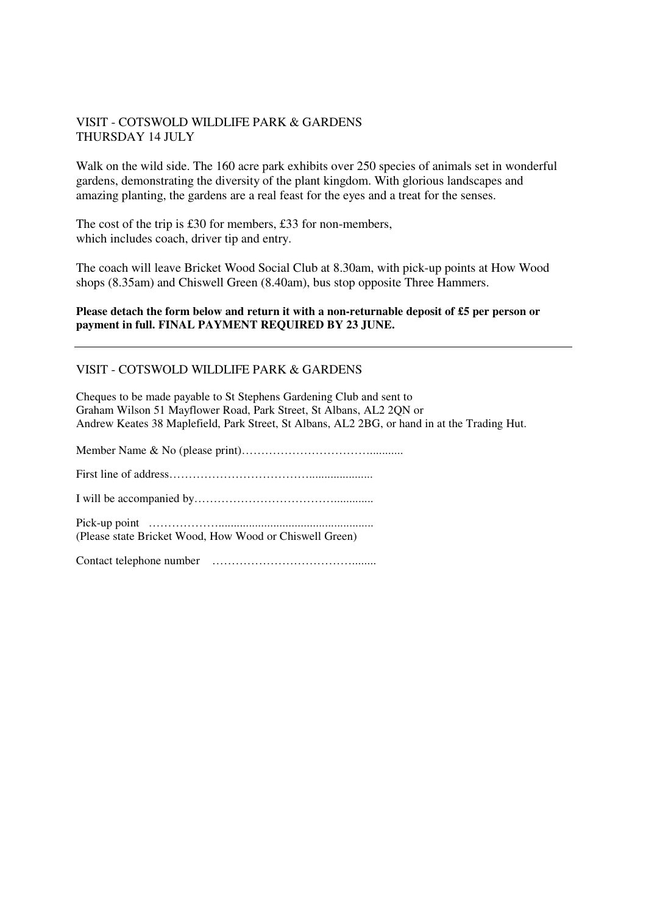### VISIT - COTSWOLD WILDLIFE PARK & GARDENS THURSDAY 14 JULY

Walk on the wild side. The 160 acre park exhibits over 250 species of animals set in wonderful gardens, demonstrating the diversity of the plant kingdom. With glorious landscapes and amazing planting, the gardens are a real feast for the eyes and a treat for the senses.

The cost of the trip is £30 for members, £33 for non-members, which includes coach, driver tip and entry.

The coach will leave Bricket Wood Social Club at 8.30am, with pick-up points at How Wood shops (8.35am) and Chiswell Green (8.40am), bus stop opposite Three Hammers.

#### **Please detach the form below and return it with a non-returnable deposit of £5 per person or payment in full. FINAL PAYMENT REQUIRED BY 23 JUNE.**

#### VISIT - COTSWOLD WILDLIFE PARK & GARDENS

Cheques to be made payable to St Stephens Gardening Club and sent to Graham Wilson 51 Mayflower Road, Park Street, St Albans, AL2 2QN or Andrew Keates 38 Maplefield, Park Street, St Albans, AL2 2BG, or hand in at the Trading Hut.

Member Name & No (please print)……………………………........... First line of address………………………………..................... I will be accompanied by………………………………............. Pick-up point ………………................................................... (Please state Bricket Wood, How Wood or Chiswell Green) Contact telephone number ………………………………........